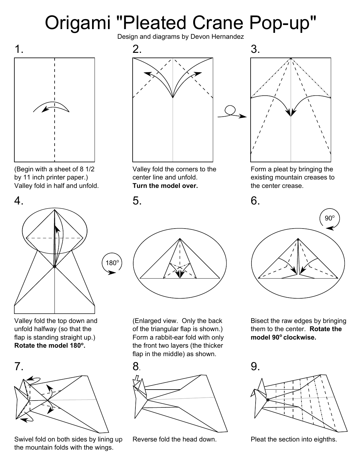## Origami "Pleated Crane Pop-up" Design and diagrams by Devon Hernandez



(Begin with a sheet of 8 1/2 by 11 inch printer paper.) Valley fold in half and unfold.



Valley fold the top down and unfold halfway (so that the flap is standing straight up.) **Rotate the model 180<sup>o</sup> .**



Swivel fold on both sides by lining up the mountain folds with the wings.



Valley fold the corners to the center line and unfold. **Turn the model over.**

 $180<sup>c</sup>$ 



(Enlarged view. Only the back of the triangular flap is shown.) Form a rabbit-ear fold with only the front two layers (the thicker flap in the middle) as shown.



Reverse fold the head down.



Form a pleat by bringing the existing mountain creases to the center crease.



Bisect the raw edges by bringing them to the center. **Rotate the model 90o clockwise.**



Pleat the section into eighths.